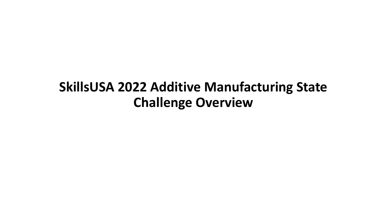#### **SkillsUSA 2022 Additive Manufacturing State Challenge Overview**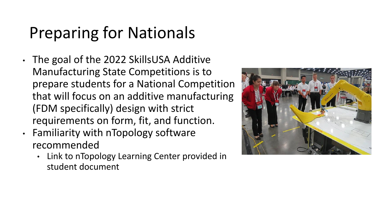# Preparing for Nationals

- The goal of the 2022 SkillsUSA Additive Manufacturing State Competitions is to prepare students for a National Competition that will focus on an additive manufacturing (FDM specifically) design with strict requirements on form, fit, and function.
- Familiarity with nTopology software recommended
	- Link to nTopology Learning Center provided in student document

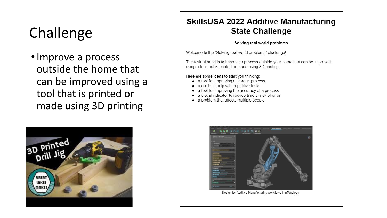### Challenge

• Improve a process outside the home that can be improved using a tool that is printed or made using 3D printing



#### **SkillsUSA 2022 Additive Manufacturing State Challenge**

#### Solving real world problems

Welcome to the "Solving real world problems" challenge!

The task at hand is to improve a process outside your home that can be improved using a tool that is printed or made using 3D printing.

Here are some ideas to start you thinking:

- a tool for improving a storage process
- a guide to help with repetitive tasks ٠
- a tool for improving the accuracy of a process
- a visual indicator to reduce time or risk of error
- a problem that affects multiple people



Design for Additive Manufacturing workflows in nTopology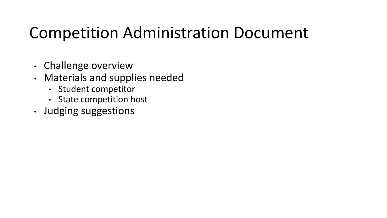### Competition Administration Document

- Challenge overview
- Materials and supplies needed
	- Student competitor
	- State competition host
- Judging suggestions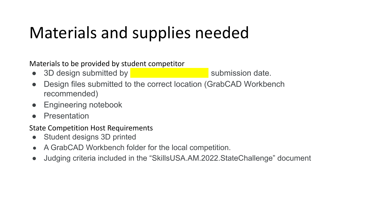## Materials and supplies needed

Materials to be provided by student competitor

- 3D design submitted by submission date.
- Design files submitted to the correct location (GrabCAD Workbench recommended)
- Engineering notebook
- Presentation

State Competition Host Requirements

- Student designs 3D printed
- A GrabCAD Workbench folder for the local competition.
- Judging criteria included in the "SkillsUSA.AM.2022.StateChallenge" document